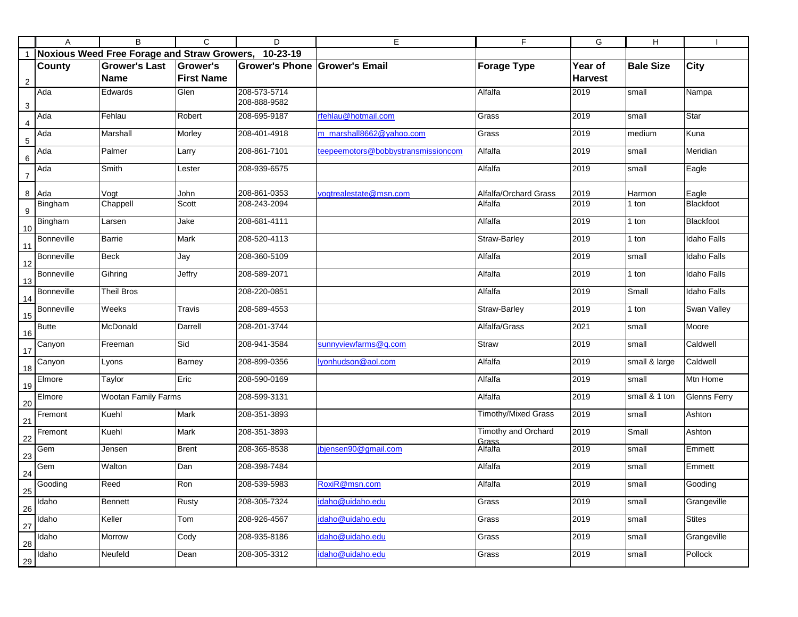|                | Α                 | B                                                    | C                 | D                            | Е                                  | F                            | G              | H                |                     |
|----------------|-------------------|------------------------------------------------------|-------------------|------------------------------|------------------------------------|------------------------------|----------------|------------------|---------------------|
| $\overline{1}$ |                   | Noxious Weed Free Forage and Straw Growers, 10-23-19 |                   |                              |                                    |                              |                |                  |                     |
|                | County            | <b>Grower's Last</b>                                 | Grower's          | <b>Grower's Phone</b>        | <b>Grower's Email</b>              | <b>Forage Type</b>           | Year of        | <b>Bale Size</b> | <b>City</b>         |
| $\overline{2}$ |                   | Name                                                 | <b>First Name</b> |                              |                                    |                              | <b>Harvest</b> |                  |                     |
| 3              | Ada               | Edwards                                              | Glen              | 208-573-5714<br>208-888-9582 |                                    | Alfalfa                      | 2019           | small            | Nampa               |
| $\overline{4}$ | Ada               | Fehlau                                               | Robert            | 208-695-9187                 | rfehlau@hotmail.com                | Grass                        | 2019           | small            | Star                |
| $\,$ 5 $\,$    | Ada               | Marshall                                             | Morley            | 208-401-4918                 | m_marshall8662@yahoo.com           | Grass                        | 2019           | medium           | Kuna                |
| $\,6\,$        | Ada               | Palmer                                               | Larry             | 208-861-7101                 | teepeemotors@bobbystransmissioncom | Alfalfa                      | 2019           | small            | Meridian            |
| $\overline{7}$ | Ada               | Smith                                                | Lester            | 208-939-6575                 |                                    | Alfalfa                      | 2019           | small            | Eagle               |
| 8              | Ada               | Vogt                                                 | John              | 208-861-0353                 | vogtrealestate@msn.com             | Alfalfa/Orchard Grass        | 2019           | Harmon           | Eagle               |
| 9              | Bingham           | Chappell                                             | Scott             | 208-243-2094                 |                                    | Alfalfa                      | 2019           | 1 ton            | Blackfoot           |
| 10             | Bingham           | Larsen                                               | Jake              | 208-681-4111                 |                                    | Alfalfa                      | 2019           | 1 ton            | Blackfoot           |
| 11             | <b>Bonneville</b> | <b>Barrie</b>                                        | Mark              | 208-520-4113                 |                                    | Straw-Barley                 | 2019           | 1 ton            | <b>Idaho Falls</b>  |
| 12             | <b>Bonneville</b> | <b>Beck</b>                                          | Jay               | 208-360-5109                 |                                    | Alfalfa                      | 2019           | small            | <b>Idaho Falls</b>  |
| 13             | <b>Bonneville</b> | Gihring                                              | Jeffry            | 208-589-2071                 |                                    | Alfalfa                      | 2019           | 1 ton            | <b>Idaho Falls</b>  |
| 14             | <b>Bonneville</b> | <b>Theil Bros</b>                                    |                   | 208-220-0851                 |                                    | Alfalfa                      | 2019           | Small            | <b>Idaho Falls</b>  |
| 15             | Bonneville        | Weeks                                                | Travis            | 208-589-4553                 |                                    | Straw-Barley                 | 2019           | 1 ton            | <b>Swan Valley</b>  |
| 16             | <b>Butte</b>      | McDonald                                             | Darrell           | 208-201-3744                 |                                    | Alfalfa/Grass                | 2021           | small            | Moore               |
| 17             | Canyon            | Freeman                                              | Sid               | 208-941-3584                 | sunnyviewfarms@q.com               | <b>Straw</b>                 | 2019           | small            | Caldwell            |
| 18             | Canyon            | Lyons                                                | Barney            | 208-899-0356                 | lyonhudson@aol.com                 | Alfalfa                      | 2019           | small & large    | Caldwell            |
| 19             | Elmore            | Taylor                                               | Eric              | 208-590-0169                 |                                    | Alfalfa                      | 2019           | small            | Mtn Home            |
| 20             | Elmore            | <b>Wootan Family Farms</b>                           |                   | 208-599-3131                 |                                    | Alfalfa                      | 2019           | small & 1 ton    | <b>Glenns Ferry</b> |
| 21             | Fremont           | Kuehl                                                | Mark              | 208-351-3893                 |                                    | <b>Timothy/Mixed Grass</b>   | 2019           | small            | Ashton              |
| 22             | Fremont           | Kuehl                                                | Mark              | 208-351-3893                 |                                    | Timothy and Orchard<br>Grass | 2019           | Small            | Ashton              |
| 23             | Gem               | Jensen                                               | <b>Brent</b>      | 208-365-8538                 | bjensen90@gmail.com                | Alfalfa                      | 2019           | small            | Emmett              |
| 24             | Gem               | Walton                                               | Dan               | 208-398-7484                 |                                    | Alfalfa                      | 2019           | small            | Emmett              |
| 25             | Gooding           | Reed                                                 | Ron               | 208-539-5983                 | RoxiR@msn.com                      | Alfalfa                      | 2019           | small            | Gooding             |
| 26             | Idaho             | <b>Bennett</b>                                       | Rusty             | 208-305-7324                 | idaho@uidaho.edu                   | Grass                        | 2019           | small            | Grangeville         |
| 27             | Idaho             | Keller                                               | Tom               | 208-926-4567                 | idaho@uidaho.edu                   | Grass                        | 2019           | small            | <b>Stites</b>       |
| 28             | Idaho             | Morrow                                               | Cody              | 208-935-8186                 | idaho@uidaho.edu                   | Grass                        | 2019           | small            | Grangeville         |
| 29             | Idaho             | Neufeld                                              | Dean              | 208-305-3312                 | idaho@uidaho.edu                   | Grass                        | 2019           | small            | Pollock             |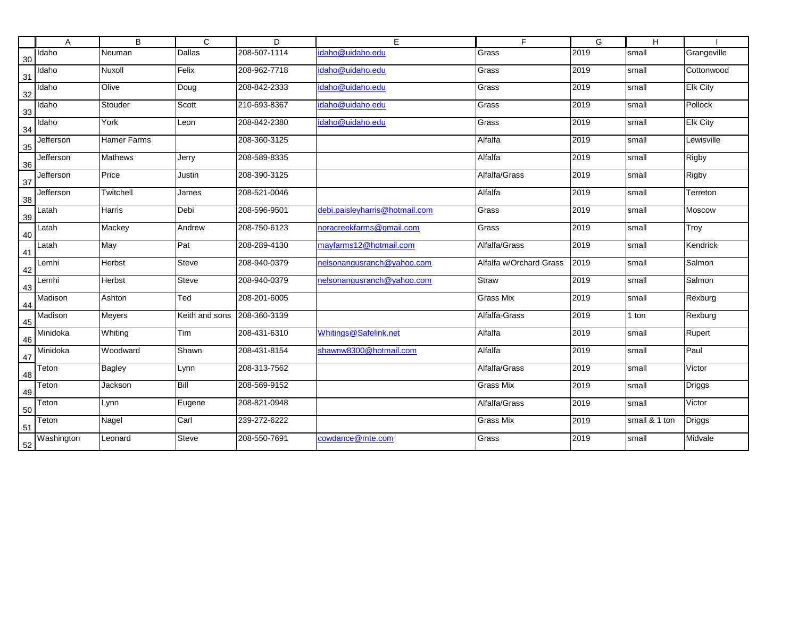|    | Α          | $\overline{B}$ | $\overline{c}$ | D            | Е                              | F                       | G    | H             |                 |
|----|------------|----------------|----------------|--------------|--------------------------------|-------------------------|------|---------------|-----------------|
| 30 | Idaho      | <b>Neuman</b>  | Dallas         | 208-507-1114 | idaho@uidaho.edu               | Grass                   | 2019 | small         | Grangeville     |
| 31 | Idaho      | Nuxoll         | Felix          | 208-962-7718 | idaho@uidaho.edu               | Grass                   | 2019 | small         | Cottonwood      |
| 32 | Idaho      | Olive          | Doug           | 208-842-2333 | idaho@uidaho.edu               | Grass                   | 2019 | small         | <b>Elk City</b> |
| 33 | Idaho      | Stouder        | Scott          | 210-693-8367 | idaho@uidaho.edu               | Grass                   | 2019 | small         | Pollock         |
| 34 | Idaho      | York           | Leon           | 208-842-2380 | idaho@uidaho.edu               | Grass                   | 2019 | small         | <b>Elk City</b> |
| 35 | Jefferson  | Hamer Farms    |                | 208-360-3125 |                                | Alfalfa                 | 2019 | small         | Lewisville      |
| 36 | Jefferson  | <b>Mathews</b> | Jerry          | 208-589-8335 |                                | Alfalfa                 | 2019 | small         | Rigby           |
| 37 | Jefferson  | Price          | Justin         | 208-390-3125 |                                | Alfalfa/Grass           | 2019 | small         | Rigby           |
| 38 | Jefferson  | Twitchell      | James          | 208-521-0046 |                                | Alfalfa                 | 2019 | small         | Terreton        |
| 39 | Latah      | Harris         | Debi           | 208-596-9501 | debi.paisleyharris@hotmail.com | Grass                   | 2019 | small         | Moscow          |
| 40 | Latah      | Mackey         | Andrew         | 208-750-6123 | noracreekfarms@gmail.com       | Grass                   | 2019 | small         | Troy            |
| 41 | Latah      | May            | Pat            | 208-289-4130 | mayfarms12@hotmail.com         | Alfalfa/Grass           | 2019 | small         | Kendrick        |
| 42 | Lemhi      | Herbst         | <b>Steve</b>   | 208-940-0379 | nelsonangusranch@yahoo.com     | Alfalfa w/Orchard Grass | 2019 | small         | Salmon          |
| 43 | Lemhi      | Herbst         | <b>Steve</b>   | 208-940-0379 | nelsonangusranch@yahoo.com     | <b>Straw</b>            | 2019 | small         | Salmon          |
| 44 | Madison    | Ashton         | Ted            | 208-201-6005 |                                | Grass Mix               | 2019 | small         | Rexburg         |
| 45 | Madison    | Meyers         | Keith and sons | 208-360-3139 |                                | Alfalfa-Grass           | 2019 | 1 ton         | Rexburg         |
| 46 | Minidoka   | Whiting        | Tim            | 208-431-6310 | Whitings@Safelink.net          | Alfalfa                 | 2019 | small         | Rupert          |
| 47 | Minidoka   | Woodward       | Shawn          | 208-431-8154 | shawnw8300@hotmail.com         | Alfalfa                 | 2019 | small         | Paul            |
| 48 | Teton      | <b>Bagley</b>  | Lynn           | 208-313-7562 |                                | Alfalfa/Grass           | 2019 | small         | Victor          |
| 49 | Teton      | Jackson        | Bill           | 208-569-9152 |                                | Grass Mix               | 2019 | small         | <b>Driggs</b>   |
| 50 | Teton      | Lynn           | Eugene         | 208-821-0948 |                                | Alfalfa/Grass           | 2019 | small         | Victor          |
| 51 | Teton      | Nagel          | Carl           | 239-272-6222 |                                | <b>Grass Mix</b>        | 2019 | small & 1 ton | <b>Driggs</b>   |
| 52 | Washington | Leonard        | Steve          | 208-550-7691 | cowdance@mte.com               | Grass                   | 2019 | small         | Midvale         |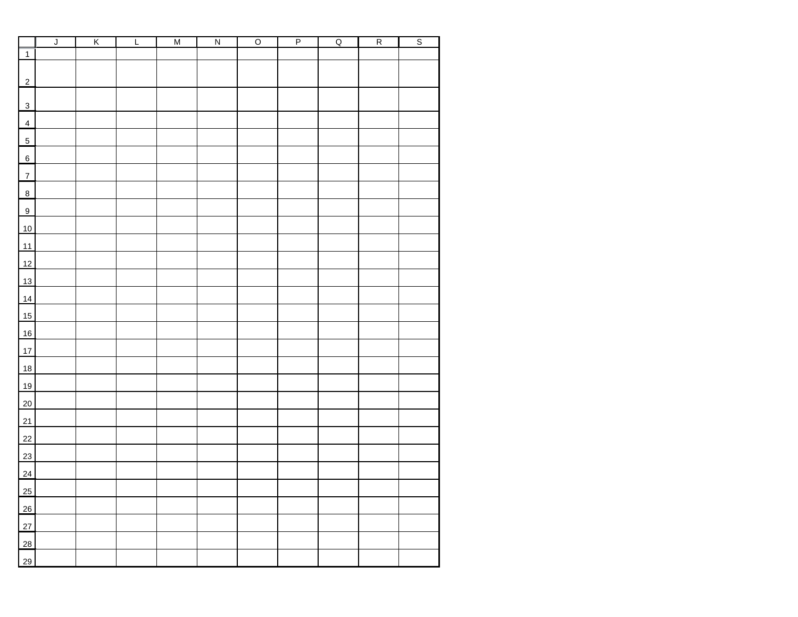| $\overline{1}$ |  | M | $\overline{\mathsf{N}}$ | $\overline{\circ}$ | $\overline{P}$ | $\overline{Q}$ | $\overline{R}$ | $\overline{s}$ |  |
|----------------|--|---|-------------------------|--------------------|----------------|----------------|----------------|----------------|--|
|                |  |   |                         |                    |                |                |                |                |  |
|                |  |   |                         |                    |                |                |                |                |  |
| $\overline{2}$ |  |   |                         |                    |                |                |                |                |  |
| $\overline{3}$ |  |   |                         |                    |                |                |                |                |  |
| $\overline{4}$ |  |   |                         |                    |                |                |                |                |  |
|                |  |   |                         |                    |                |                |                |                |  |
| $\overline{5}$ |  |   |                         |                    |                |                |                |                |  |
| 6              |  |   |                         |                    |                |                |                |                |  |
| $\overline{7}$ |  |   |                         |                    |                |                |                |                |  |
| $\frac{8}{2}$  |  |   |                         |                    |                |                |                |                |  |
| $\overline{9}$ |  |   |                         |                    |                |                |                |                |  |
| 10             |  |   |                         |                    |                |                |                |                |  |
| 11             |  |   |                         |                    |                |                |                |                |  |
| 12             |  |   |                         |                    |                |                |                |                |  |
| 13             |  |   |                         |                    |                |                |                |                |  |
| 14             |  |   |                         |                    |                |                |                |                |  |
| 15             |  |   |                         |                    |                |                |                |                |  |
| 16             |  |   |                         |                    |                |                |                |                |  |
| 17             |  |   |                         |                    |                |                |                |                |  |
| 18             |  |   |                         |                    |                |                |                |                |  |
|                |  |   |                         |                    |                |                |                |                |  |
| 19             |  |   |                         |                    |                |                |                |                |  |
| $20\degree$    |  |   |                         |                    |                |                |                |                |  |
| 21             |  |   |                         |                    |                |                |                |                |  |
| 22             |  |   |                         |                    |                |                |                |                |  |
| 23             |  |   |                         |                    |                |                |                |                |  |
| 24             |  |   |                         |                    |                |                |                |                |  |
| 25             |  |   |                         |                    |                |                |                |                |  |
| 26             |  |   |                         |                    |                |                |                |                |  |
| 27             |  |   |                         |                    |                |                |                |                |  |
| 28             |  |   |                         |                    |                |                |                |                |  |
| 29             |  |   |                         |                    |                |                |                |                |  |